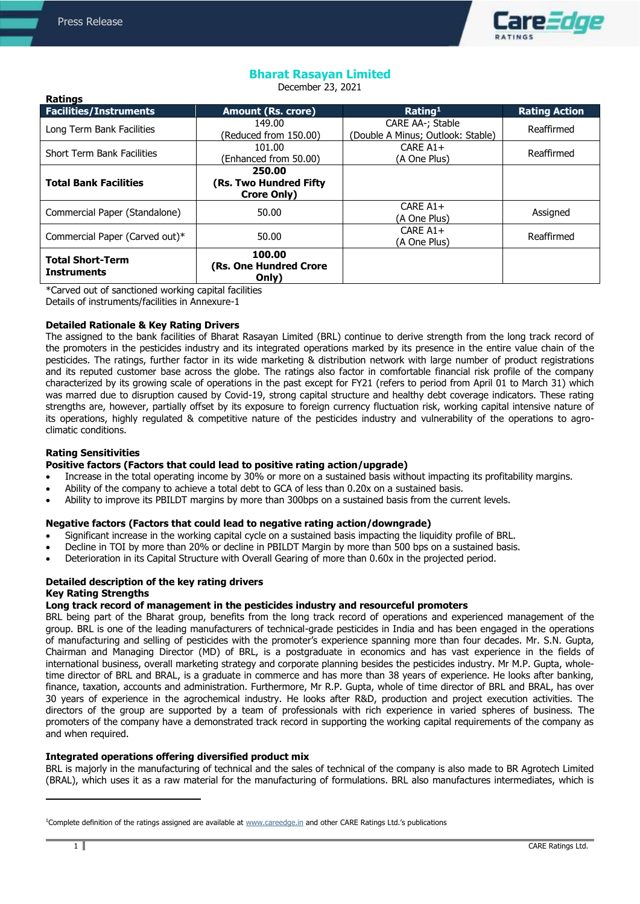**Ratings**



# **Bharat Rasayan Limited**

December 23, 2021

| naungs<br><b>Facilities/Instruments</b>       | <b>Amount (Rs. crore)</b>                               | Rating <sup>1</sup>                                   | <b>Rating Action</b> |
|-----------------------------------------------|---------------------------------------------------------|-------------------------------------------------------|----------------------|
| Long Term Bank Facilities                     | 149.00<br>(Reduced from 150.00)                         | CARE AA-; Stable<br>(Double A Minus; Outlook: Stable) | Reaffirmed           |
| <b>Short Term Bank Facilities</b>             | 101.00<br>(Enhanced from 50.00)                         | CARE $A1+$<br>(A One Plus)                            | Reaffirmed           |
| <b>Total Bank Facilities</b>                  | 250.00<br>(Rs. Two Hundred Fifty)<br><b>Crore Only)</b> |                                                       |                      |
| Commercial Paper (Standalone)                 | 50.00                                                   | CARE $A1+$<br>(A One Plus)                            | Assigned             |
| Commercial Paper (Carved out)*                | 50.00                                                   | CARE $A1+$<br>(A One Plus)                            | Reaffirmed           |
| <b>Total Short-Term</b><br><b>Instruments</b> | 100.00<br>(Rs. One Hundred Crore<br>Only)               |                                                       |                      |

\*Carved out of sanctioned working capital facilities Details of instruments/facilities in Annexure-1

## **Detailed Rationale & Key Rating Drivers**

The assigned to the bank facilities of Bharat Rasayan Limited (BRL) continue to derive strength from the long track record of the promoters in the pesticides industry and its integrated operations marked by its presence in the entire value chain of the pesticides. The ratings, further factor in its wide marketing & distribution network with large number of product registrations and its reputed customer base across the globe. The ratings also factor in comfortable financial risk profile of the company characterized by its growing scale of operations in the past except for FY21 (refers to period from April 01 to March 31) which was marred due to disruption caused by Covid-19, strong capital structure and healthy debt coverage indicators. These rating strengths are, however, partially offset by its exposure to foreign currency fluctuation risk, working capital intensive nature of its operations, highly regulated & competitive nature of the pesticides industry and vulnerability of the operations to agroclimatic conditions.

# **Rating Sensitivities**

**Positive factors (Factors that could lead to positive rating action/upgrade)**

- Increase in the total operating income by 30% or more on a sustained basis without impacting its profitability margins.
- Ability of the company to achieve a total debt to GCA of less than 0.20x on a sustained basis.
- Ability to improve its PBILDT margins by more than 300bps on a sustained basis from the current levels.

# **Negative factors (Factors that could lead to negative rating action/downgrade)**

- Significant increase in the working capital cycle on a sustained basis impacting the liquidity profile of BRL.
- Decline in TOI by more than 20% or decline in PBILDT Margin by more than 500 bps on a sustained basis.
- Deterioration in its Capital Structure with Overall Gearing of more than 0.60x in the projected period.

# **Detailed description of the key rating drivers Key Rating Strengths**

# **Long track record of management in the pesticides industry and resourceful promoters**

BRL being part of the Bharat group, benefits from the long track record of operations and experienced management of the group. BRL is one of the leading manufacturers of technical-grade pesticides in India and has been engaged in the operations of manufacturing and selling of pesticides with the promoter's experience spanning more than four decades. Mr. S.N. Gupta, Chairman and Managing Director (MD) of BRL, is a postgraduate in economics and has vast experience in the fields of international business, overall marketing strategy and corporate planning besides the pesticides industry. Mr M.P. Gupta, wholetime director of BRL and BRAL, is a graduate in commerce and has more than 38 years of experience. He looks after banking, finance, taxation, accounts and administration. Furthermore, Mr R.P. Gupta, whole of time director of BRL and BRAL, has over 30 years of experience in the agrochemical industry. He looks after R&D, production and project execution activities. The directors of the group are supported by a team of professionals with rich experience in varied spheres of business. The promoters of the company have a demonstrated track record in supporting the working capital requirements of the company as and when required.

# **Integrated operations offering diversified product mix**

BRL is majorly in the manufacturing of technical and the sales of technical of the company is also made to BR Agrotech Limited (BRAL), which uses it as a raw material for the manufacturing of formulations. BRL also manufactures intermediates, which is

 $\ddot{\phantom{a}}$ 

<sup>&</sup>lt;sup>1</sup>Complete definition of the ratings assigned are available at [www.careedge.in](http://www.careedge.in/) and other CARE Ratings Ltd.'s publications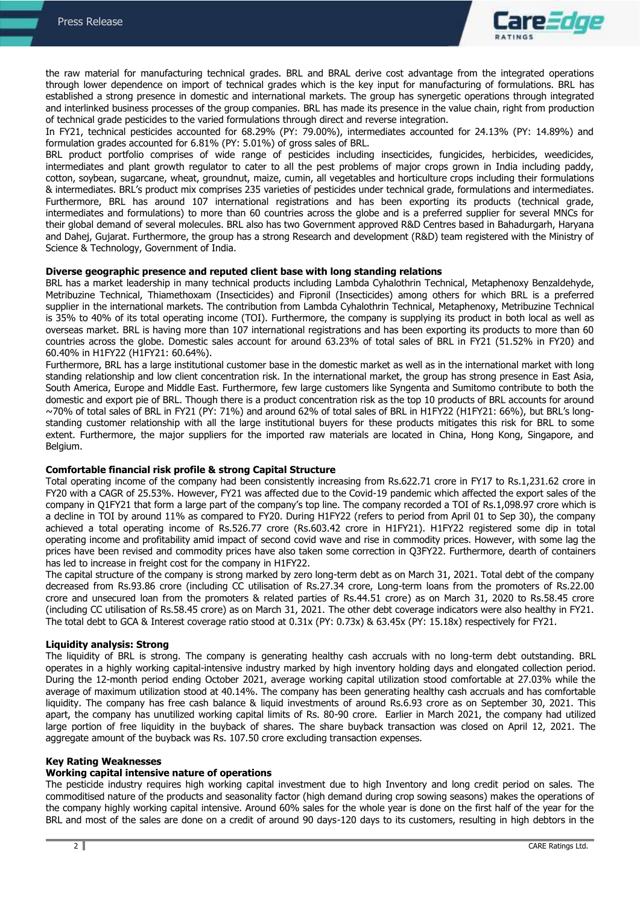

the raw material for manufacturing technical grades. BRL and BRAL derive cost advantage from the integrated operations through lower dependence on import of technical grades which is the key input for manufacturing of formulations. BRL has established a strong presence in domestic and international markets. The group has synergetic operations through integrated and interlinked business processes of the group companies. BRL has made its presence in the value chain, right from production of technical grade pesticides to the varied formulations through direct and reverse integration.

In FY21, technical pesticides accounted for 68.29% (PY: 79.00%), intermediates accounted for 24.13% (PY: 14.89%) and formulation grades accounted for 6.81% (PY: 5.01%) of gross sales of BRL.

BRL product portfolio comprises of wide range of pesticides including insecticides, fungicides, herbicides, weedicides, intermediates and plant growth regulator to cater to all the pest problems of major crops grown in India including paddy, cotton, soybean, sugarcane, wheat, groundnut, maize, cumin, all vegetables and horticulture crops including their formulations & intermediates. BRL's product mix comprises 235 varieties of pesticides under technical grade, formulations and intermediates. Furthermore, BRL has around 107 international registrations and has been exporting its products (technical grade, intermediates and formulations) to more than 60 countries across the globe and is a preferred supplier for several MNCs for their global demand of several molecules. BRL also has two Government approved R&D Centres based in Bahadurgarh, Haryana and Dahej, Gujarat. Furthermore, the group has a strong Research and development (R&D) team registered with the Ministry of Science & Technology, Government of India.

#### **Diverse geographic presence and reputed client base with long standing relations**

BRL has a market leadership in many technical products including Lambda Cyhalothrin Technical, Metaphenoxy Benzaldehyde, Metribuzine Technical, Thiamethoxam (Insecticides) and Fipronil (Insecticides) among others for which BRL is a preferred supplier in the international markets. The contribution from Lambda Cyhalothrin Technical, Metaphenoxy, Metribuzine Technical is 35% to 40% of its total operating income (TOI). Furthermore, the company is supplying its product in both local as well as overseas market. BRL is having more than 107 international registrations and has been exporting its products to more than 60 countries across the globe. Domestic sales account for around 63.23% of total sales of BRL in FY21 (51.52% in FY20) and 60.40% in H1FY22 (H1FY21: 60.64%).

Furthermore, BRL has a large institutional customer base in the domestic market as well as in the international market with long standing relationship and low client concentration risk. In the international market, the group has strong presence in East Asia, South America, Europe and Middle East. Furthermore, few large customers like Syngenta and Sumitomo contribute to both the domestic and export pie of BRL. Though there is a product concentration risk as the top 10 products of BRL accounts for around ~70% of total sales of BRL in FY21 (PY: 71%) and around 62% of total sales of BRL in H1FY22 (H1FY21: 66%), but BRL's longstanding customer relationship with all the large institutional buyers for these products mitigates this risk for BRL to some extent. Furthermore, the major suppliers for the imported raw materials are located in China, Hong Kong, Singapore, and Belgium.

#### **Comfortable financial risk profile & strong Capital Structure**

Total operating income of the company had been consistently increasing from Rs.622.71 crore in FY17 to Rs.1,231.62 crore in FY20 with a CAGR of 25.53%. However, FY21 was affected due to the Covid-19 pandemic which affected the export sales of the company in Q1FY21 that form a large part of the company's top line. The company recorded a TOI of Rs.1,098.97 crore which is a decline in TOI by around 11% as compared to FY20. During H1FY22 (refers to period from April 01 to Sep 30), the company achieved a total operating income of Rs.526.77 crore (Rs.603.42 crore in H1FY21). H1FY22 registered some dip in total operating income and profitability amid impact of second covid wave and rise in commodity prices. However, with some lag the prices have been revised and commodity prices have also taken some correction in Q3FY22. Furthermore, dearth of containers has led to increase in freight cost for the company in H1FY22.

The capital structure of the company is strong marked by zero long-term debt as on March 31, 2021. Total debt of the company decreased from Rs.93.86 crore (including CC utilisation of Rs.27.34 crore, Long-term loans from the promoters of Rs.22.00 crore and unsecured loan from the promoters & related parties of Rs.44.51 crore) as on March 31, 2020 to Rs.58.45 crore (including CC utilisation of Rs.58.45 crore) as on March 31, 2021. The other debt coverage indicators were also healthy in FY21. The total debt to GCA & Interest coverage ratio stood at 0.31x (PY: 0.73x) & 63.45x (PY: 15.18x) respectively for FY21.

#### **Liquidity analysis: Strong**

The liquidity of BRL is strong. The company is generating healthy cash accruals with no long-term debt outstanding. BRL operates in a highly working capital-intensive industry marked by high inventory holding days and elongated collection period. During the 12-month period ending October 2021, average working capital utilization stood comfortable at 27.03% while the average of maximum utilization stood at 40.14%. The company has been generating healthy cash accruals and has comfortable liquidity. The company has free cash balance & liquid investments of around Rs.6.93 crore as on September 30, 2021. This apart, the company has unutilized working capital limits of Rs. 80-90 crore. Earlier in March 2021, the company had utilized large portion of free liquidity in the buyback of shares. The share buyback transaction was closed on April 12, 2021. The aggregate amount of the buyback was Rs. 107.50 crore excluding transaction expenses.

### **Key Rating Weaknesses**

# **Working capital intensive nature of operations**

The pesticide industry requires high working capital investment due to high Inventory and long credit period on sales. The commoditised nature of the products and seasonality factor (high demand during crop sowing seasons) makes the operations of the company highly working capital intensive. Around 60% sales for the whole year is done on the first half of the year for the BRL and most of the sales are done on a credit of around 90 days-120 days to its customers, resulting in high debtors in the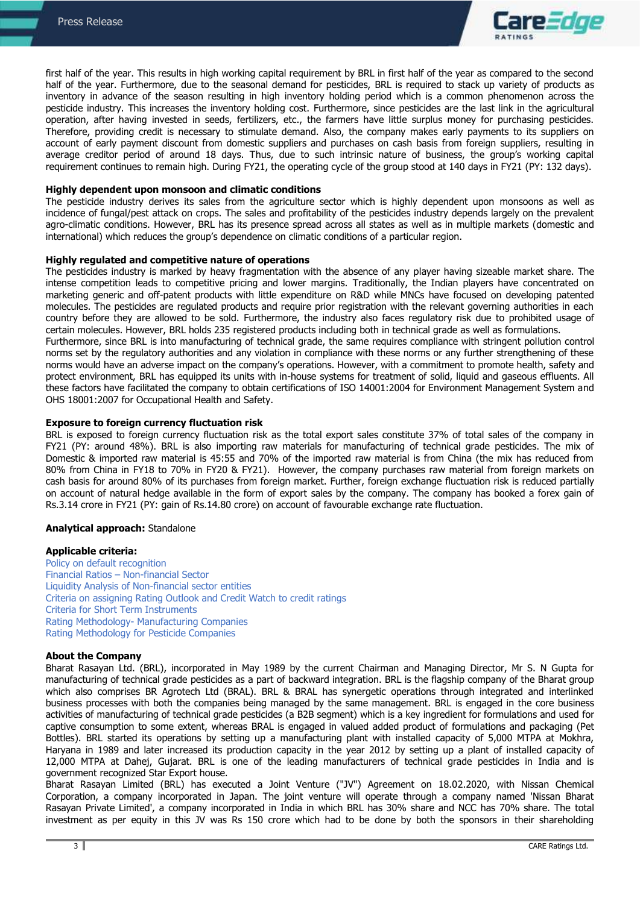

first half of the year. This results in high working capital requirement by BRL in first half of the year as compared to the second half of the year. Furthermore, due to the seasonal demand for pesticides. BRL is required to stack up variety of products as inventory in advance of the season resulting in high inventory holding period which is a common phenomenon across the pesticide industry. This increases the inventory holding cost. Furthermore, since pesticides are the last link in the agricultural operation, after having invested in seeds, fertilizers, etc., the farmers have little surplus money for purchasing pesticides. Therefore, providing credit is necessary to stimulate demand. Also, the company makes early payments to its suppliers on account of early payment discount from domestic suppliers and purchases on cash basis from foreign suppliers, resulting in average creditor period of around 18 days. Thus, due to such intrinsic nature of business, the group's working capital requirement continues to remain high. During FY21, the operating cycle of the group stood at 140 days in FY21 (PY: 132 days).

#### **Highly dependent upon monsoon and climatic conditions**

The pesticide industry derives its sales from the agriculture sector which is highly dependent upon monsoons as well as incidence of fungal/pest attack on crops. The sales and profitability of the pesticides industry depends largely on the prevalent agro-climatic conditions. However, BRL has its presence spread across all states as well as in multiple markets (domestic and international) which reduces the group's dependence on climatic conditions of a particular region.

#### **Highly regulated and competitive nature of operations**

The pesticides industry is marked by heavy fragmentation with the absence of any player having sizeable market share. The intense competition leads to competitive pricing and lower margins. Traditionally, the Indian players have concentrated on marketing generic and off-patent products with little expenditure on R&D while MNCs have focused on developing patented molecules. The pesticides are regulated products and require prior registration with the relevant governing authorities in each country before they are allowed to be sold. Furthermore, the industry also faces regulatory risk due to prohibited usage of certain molecules. However, BRL holds 235 registered products including both in technical grade as well as formulations. Furthermore, since BRL is into manufacturing of technical grade, the same requires compliance with stringent pollution control

norms set by the regulatory authorities and any violation in compliance with these norms or any further strengthening of these norms would have an adverse impact on the company's operations. However, with a commitment to promote health, safety and protect environment, BRL has equipped its units with in-house systems for treatment of solid, liquid and gaseous effluents. All these factors have facilitated the company to obtain certifications of ISO 14001:2004 for Environment Management System and OHS 18001:2007 for Occupational Health and Safety.

### **Exposure to foreign currency fluctuation risk**

BRL is exposed to foreign currency fluctuation risk as the total export sales constitute 37% of total sales of the company in FY21 (PY: around 48%). BRL is also importing raw materials for manufacturing of technical grade pesticides. The mix of Domestic & imported raw material is 45:55 and 70% of the imported raw material is from China (the mix has reduced from 80% from China in FY18 to 70% in FY20 & FY21). However, the company purchases raw material from foreign markets on cash basis for around 80% of its purchases from foreign market. Further, foreign exchange fluctuation risk is reduced partially on account of natural hedge available in the form of export sales by the company. The company has booked a forex gain of Rs.3.14 crore in FY21 (PY: gain of Rs.14.80 crore) on account of favourable exchange rate fluctuation.

#### **Analytical approach:** Standalone

#### **Applicable criteria:**

[Policy on default recognition](https://www.careratings.com/pdf/resources/CARE) Financial Ratios – [Non-financial Sector](https://www.careratings.com/pdf/resources/Financial%20ratios%20-%20Non%20Financial%20Sector_March2021.pdf) Liquidity Analysis of [Non-financial sector entities](https://www.careratings.com/pdf/resources/Liquidity%20Analysis%20of%20Non%20-%20Financial%20Sector%20entities_May2020.pdf) [Criteria on assigning Rating Outlook and Credit Watch to credit ratings](https://www.careratings.com/pdf/resources/Rating%20Outlook%20and%20credit%20watch_May2020.pdf) [Criteria for Short Term Instruments](https://www.careratings.com/upload/NewsFiles/GetRated/Short%20Term%20Instruments%20_February2021.pdf) Rating Methodology- [Manufacturing Companies](https://www.careratings.com/upload/NewsFiles/GetRated/Rating%20Methodology-Manufacturing%20Companies_December2020.pdf) [Rating Methodology for Pesticide Companies](https://www.careratings.com/upload/NewsFiles/GetRated/Rating%20Methodology-Pesticides_November2020.pdf)

#### **About the Company**

Bharat Rasayan Ltd. (BRL), incorporated in May 1989 by the current Chairman and Managing Director, Mr S. N Gupta for manufacturing of technical grade pesticides as a part of backward integration. BRL is the flagship company of the Bharat group which also comprises BR Agrotech Ltd (BRAL). BRL & BRAL has synergetic operations through integrated and interlinked business processes with both the companies being managed by the same management. BRL is engaged in the core business activities of manufacturing of technical grade pesticides (a B2B segment) which is a key ingredient for formulations and used for captive consumption to some extent, whereas BRAL is engaged in valued added product of formulations and packaging (Pet Bottles). BRL started its operations by setting up a manufacturing plant with installed capacity of 5,000 MTPA at Mokhra, Haryana in 1989 and later increased its production capacity in the year 2012 by setting up a plant of installed capacity of 12,000 MTPA at Dahej, Gujarat. BRL is one of the leading manufacturers of technical grade pesticides in India and is government recognized Star Export house.

Bharat Rasayan Limited (BRL) has executed a Joint Venture ("JV") Agreement on 18.02.2020, with Nissan Chemical Corporation, a company incorporated in Japan. The joint venture will operate through a company named 'Nissan Bharat Rasayan Private Limited', a company incorporated in India in which BRL has 30% share and NCC has 70% share. The total investment as per equity in this JV was Rs 150 crore which had to be done by both the sponsors in their shareholding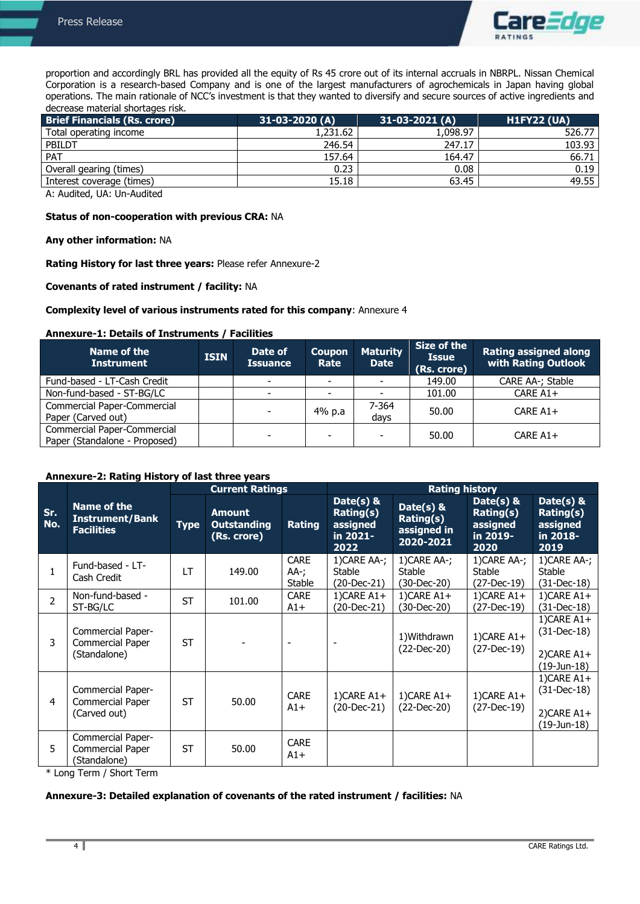

proportion and accordingly BRL has provided all the equity of Rs 45 crore out of its internal accruals in NBRPL. Nissan Chemical Corporation is a research-based Company and is one of the largest manufacturers of agrochemicals in Japan having global operations. The main rationale of NCC's investment is that they wanted to diversify and secure sources of active ingredients and decrease material shortages risk.

| <b>Brief Financials (Rs. crore)</b> | $31-03-2020(A)$ | 31-03-2021 (A) | <b>H1FY22 (UA)</b> |
|-------------------------------------|-----------------|----------------|--------------------|
| Total operating income              | 1,231.62        | 1,098.97       | 526.77             |
| PBILDT                              | 246.54          | 247.17         | 103.93             |
| <b>PAT</b>                          | 157.64          | 164.47         | 66.71              |
| Overall gearing (times)             | 0.23            | 0.08           | 0.19               |
| Interest coverage (times)           | 15.18           | 63.45          | 49.55              |

A: Audited, UA: Un-Audited

### **Status of non-cooperation with previous CRA:** NA

#### **Any other information:** NA

**Rating History for last three years:** Please refer Annexure-2

# **Covenants of rated instrument / facility:** NA

#### **Complexity level of various instruments rated for this company**: Annexure 4

#### **Annexure-1: Details of Instruments / Facilities**

| Name of the<br><b>Instrument</b>                             | <b>ISIN</b> | Date of<br><b>Issuance</b> | <b>Coupon</b><br>Rate    | <b>Maturity</b><br><b>Date</b> | Size of the<br><b>Issue</b><br>(Rs. crore) | <b>Rating assigned along</b><br><b>with Rating Outlook</b> |
|--------------------------------------------------------------|-------------|----------------------------|--------------------------|--------------------------------|--------------------------------------------|------------------------------------------------------------|
| Fund-based - LT-Cash Credit                                  |             | $\overline{\phantom{0}}$   |                          |                                | 149.00                                     | CARE AA-; Stable                                           |
| Non-fund-based - ST-BG/LC                                    |             | ٠                          | $\overline{\phantom{0}}$ |                                | 101.00                                     | CARE A1+                                                   |
| Commercial Paper-Commercial<br>Paper (Carved out)            |             | ٠                          | 4% p.a                   | 7-364<br>days                  | 50.00                                      | CARE $A1+$                                                 |
| Commercial Paper-Commercial<br>Paper (Standalone - Proposed) |             | $\overline{\phantom{0}}$   | $\overline{\phantom{a}}$ | $\overline{\phantom{a}}$       | 50.00                                      | CARE $A1+$                                                 |

# **Annexure-2: Rating History of last three years**

|                |                                                              |             | <b>Current Ratings</b>                             |                               | <b>Rating history</b>                                  |                                                        |                                                            |                                                                      |
|----------------|--------------------------------------------------------------|-------------|----------------------------------------------------|-------------------------------|--------------------------------------------------------|--------------------------------------------------------|------------------------------------------------------------|----------------------------------------------------------------------|
| Sr.<br>No.     | Name of the<br>Instrument/Bank<br><b>Facilities</b>          | <b>Type</b> | <b>Amount</b><br><b>Outstanding</b><br>(Rs. crore) | <b>Rating</b>                 | Date(s) &<br>Rating(s)<br>assigned<br>in 2021-<br>2022 | Date( $s$ ) &<br>Rating(s)<br>assigned in<br>2020-2021 | Date( $s$ ) &<br>Rating(s)<br>assigned<br>in 2019-<br>2020 | Date( $s$ ) &<br>Rating(s)<br>assigned<br>in 2018-<br>2019           |
| $\mathbf{1}$   | Fund-based - LT-<br>Cash Credit                              | LТ          | 149.00                                             | <b>CARE</b><br>AA-;<br>Stable | 1) CARE AA-;<br><b>Stable</b><br>(20-Dec-21)           | 1) CARE AA-;<br><b>Stable</b><br>(30-Dec-20)           | 1) CARE AA-;<br><b>Stable</b><br>(27-Dec-19)               | 1) CARE AA-;<br><b>Stable</b><br>$(31-Dec-18)$                       |
| $\overline{2}$ | Non-fund-based -<br>ST-BG/LC                                 | <b>ST</b>   | 101.00                                             | <b>CARE</b><br>$A1+$          | $1)$ CARE A1+<br>(20-Dec-21)                           | 1) CARE $A1+$<br>(30-Dec-20)                           | $1)$ CARE A1+<br>(27-Dec-19)                               | 1) CARE $A1+$<br>$(31-Dec-18)$                                       |
| 3              | Commercial Paper-<br>Commercial Paper<br>(Standalone)        | <b>ST</b>   |                                                    |                               |                                                        | 1) Withdrawn<br>$(22-Dec-20)$                          | $1)$ CARE A1+<br>$(27-Dec-19)$                             | $1)$ CARE A1+<br>$(31-Dec-18)$<br>$2)$ CARE A1+<br>(19-Jun-18)       |
| $\overline{4}$ | Commercial Paper-<br><b>Commercial Paper</b><br>(Carved out) | <b>ST</b>   | 50.00                                              | <b>CARE</b><br>$A1+$          | $1)$ CARE A1+<br>$(20-Dec-21)$                         | 1) CARE $A1+$<br>$(22 - Dec-20)$                       | $1)$ CARE A1+<br>$(27-Dec-19)$                             | 1) CARE $A1+$<br>$(31-Dec-18)$<br>$2)$ CARE A1+<br>$(19 - Jun - 18)$ |
| 5              | Commercial Paper-<br>Commercial Paper<br>(Standalone)        | <b>ST</b>   | 50.00                                              | <b>CARE</b><br>$A1+$          |                                                        |                                                        |                                                            |                                                                      |

\* Long Term / Short Term

#### **Annexure-3: Detailed explanation of covenants of the rated instrument / facilities:** NA